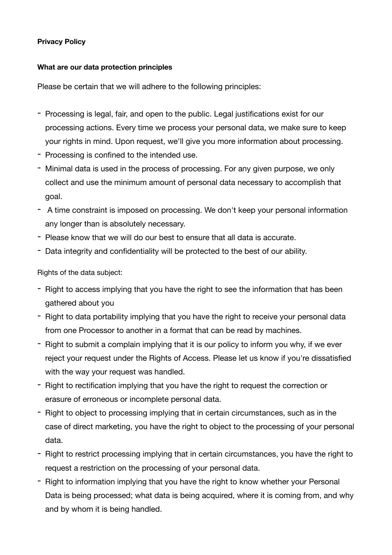### **Privacy Policy**

### **What are our data protection principles**

Please be certain that we will adhere to the following principles:

- Processing is legal, fair, and open to the public. Legal justifications exist for our processing actions. Every time we process your personal data, we make sure to keep your rights in mind. Upon request, we'll give you more information about processing.
- Processing is confined to the intended use.
- Minimal data is used in the process of processing. For any given purpose, we only collect and use the minimum amount of personal data necessary to accomplish that goal.
- A time constraint is imposed on processing. We don't keep your personal information any longer than is absolutely necessary.
- Please know that we will do our best to ensure that all data is accurate.
- Data integrity and confidentiality will be protected to the best of our ability.

Rights of the data subject:

- Right to access implying that you have the right to see the information that has been gathered about you
- Right to data portability implying that you have the right to receive your personal data from one Processor to another in a format that can be read by machines.
- Right to submit a complain implying that it is our policy to inform you why, if we ever reject your request under the Rights of Access. Please let us know if you're dissatisfied with the way your request was handled.
- Right to rectification implying that you have the right to request the correction or erasure of erroneous or incomplete personal data.
- Right to object to processing implying that in certain circumstances, such as in the case of direct marketing, you have the right to object to the processing of your personal data.
- Right to restrict processing implying that in certain circumstances, you have the right to request a restriction on the processing of your personal data.
- Right to information implying that you have the right to know whether your Personal Data is being processed; what data is being acquired, where it is coming from, and why and by whom it is being handled.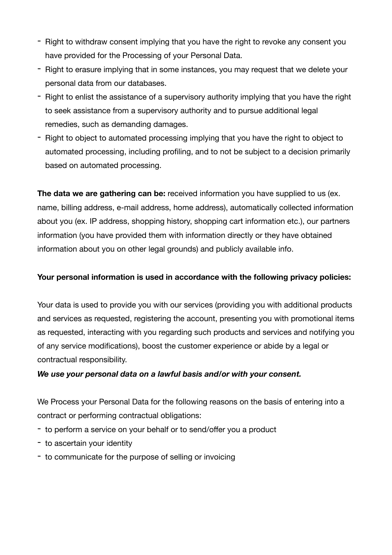- Right to withdraw consent implying that you have the right to revoke any consent you have provided for the Processing of your Personal Data.
- Right to erasure implying that in some instances, you may request that we delete your personal data from our databases.
- Right to enlist the assistance of a supervisory authority implying that you have the right to seek assistance from a supervisory authority and to pursue additional legal remedies, such as demanding damages.
- Right to object to automated processing implying that you have the right to object to automated processing, including profiling, and to not be subject to a decision primarily based on automated processing.

**The data we are gathering can be:** received information you have supplied to us (ex. name, billing address, e-mail address, home address), automatically collected information about you (ex. IP address, shopping history, shopping cart information etc.), our partners information (you have provided them with information directly or they have obtained information about you on other legal grounds) and publicly available info.

# **Your personal information is used in accordance with the following privacy policies:**

Your data is used to provide you with our services (providing you with additional products and services as requested, registering the account, presenting you with promotional items as requested, interacting with you regarding such products and services and notifying you of any service modifications), boost the customer experience or abide by a legal or contractual responsibility.

# *We use your personal data on a lawful basis and/or with your consent.*

We Process your Personal Data for the following reasons on the basis of entering into a contract or performing contractual obligations:

- to perform a service on your behalf or to send/offer you a product
- to ascertain your identity
- to communicate for the purpose of selling or invoicing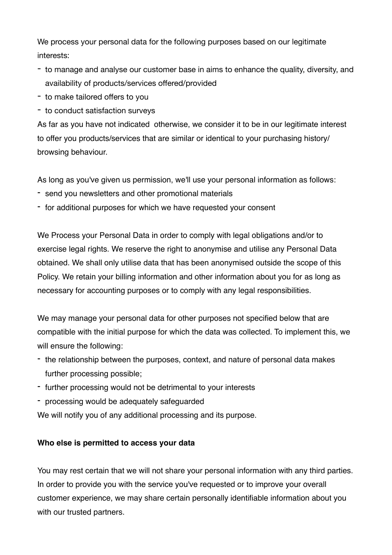We process your personal data for the following purposes based on our legitimate interests:

- to manage and analyse our customer base in aims to enhance the quality, diversity, and availability of products/services offered/provided
- to make tailored offers to you
- to conduct satisfaction surveys

As far as you have not indicated otherwise, we consider it to be in our legitimate interest to offer you products/services that are similar or identical to your purchasing history/ browsing behaviour.

As long as you've given us permission, we'll use your personal information as follows:

- send you newsletters and other promotional materials
- for additional purposes for which we have requested your consent

We Process your Personal Data in order to comply with legal obligations and/or to exercise legal rights. We reserve the right to anonymise and utilise any Personal Data obtained. We shall only utilise data that has been anonymised outside the scope of this Policy. We retain your billing information and other information about you for as long as necessary for accounting purposes or to comply with any legal responsibilities.

We may manage your personal data for other purposes not specified below that are compatible with the initial purpose for which the data was collected. To implement this, we will ensure the following:

- the relationship between the purposes, context, and nature of personal data makes further processing possible;
- further processing would not be detrimental to your interests
- processing would be adequately safeguarded

We will notify you of any additional processing and its purpose.

# **Who else is permitted to access your data**

You may rest certain that we will not share your personal information with any third parties. In order to provide you with the service you've requested or to improve your overall customer experience, we may share certain personally identifiable information about you with our trusted partners.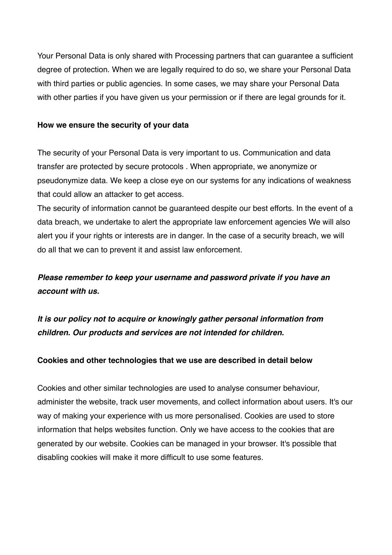Your Personal Data is only shared with Processing partners that can guarantee a sufficient degree of protection. When we are legally required to do so, we share your Personal Data with third parties or public agencies. In some cases, we may share your Personal Data with other parties if you have given us your permission or if there are legal grounds for it.

#### **How we ensure the security of your data**

The security of your Personal Data is very important to us. Communication and data transfer are protected by secure protocols . When appropriate, we anonymize or pseudonymize data. We keep a close eye on our systems for any indications of weakness that could allow an attacker to get access.

The security of information cannot be guaranteed despite our best efforts. In the event of a data breach, we undertake to alert the appropriate law enforcement agencies We will also alert you if your rights or interests are in danger. In the case of a security breach, we will do all that we can to prevent it and assist law enforcement.

# *Please remember to keep your username and password private if you have an account with us.*

*It is our policy not to acquire or knowingly gather personal information from children. Our products and services are not intended for children.*

#### **Cookies and other technologies that we use are described in detail below**

Cookies and other similar technologies are used to analyse consumer behaviour, administer the website, track user movements, and collect information about users. It's our way of making your experience with us more personalised. Cookies are used to store information that helps websites function. Only we have access to the cookies that are generated by our website. Cookies can be managed in your browser. It's possible that disabling cookies will make it more difficult to use some features.